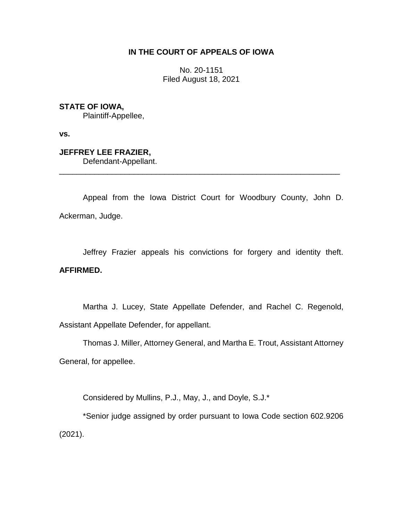## **IN THE COURT OF APPEALS OF IOWA**

No. 20-1151 Filed August 18, 2021

**STATE OF IOWA,**

Plaintiff-Appellee,

**vs.**

**JEFFREY LEE FRAZIER,** Defendant-Appellant.

Appeal from the Iowa District Court for Woodbury County, John D. Ackerman, Judge.

\_\_\_\_\_\_\_\_\_\_\_\_\_\_\_\_\_\_\_\_\_\_\_\_\_\_\_\_\_\_\_\_\_\_\_\_\_\_\_\_\_\_\_\_\_\_\_\_\_\_\_\_\_\_\_\_\_\_\_\_\_\_\_\_

Jeffrey Frazier appeals his convictions for forgery and identity theft. **AFFIRMED.**

Martha J. Lucey, State Appellate Defender, and Rachel C. Regenold, Assistant Appellate Defender, for appellant.

Thomas J. Miller, Attorney General, and Martha E. Trout, Assistant Attorney General, for appellee.

Considered by Mullins, P.J., May, J., and Doyle, S.J.\*

\*Senior judge assigned by order pursuant to Iowa Code section 602.9206 (2021).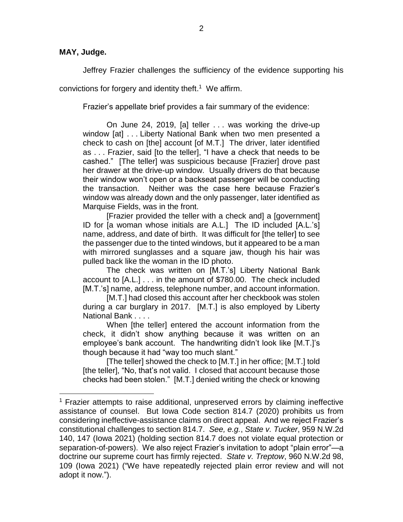## **MAY, Judge.**

 $\overline{a}$ 

Jeffrey Frazier challenges the sufficiency of the evidence supporting his

convictions for forgery and identity theft. 1 We affirm.

Frazier's appellate brief provides a fair summary of the evidence:

On June 24, 2019, [a] teller . . . was working the drive-up window [at] . . . Liberty National Bank when two men presented a check to cash on [the] account [of M.T.] The driver, later identified as . . . Frazier, said [to the teller], "I have a check that needs to be cashed." [The teller] was suspicious because [Frazier] drove past her drawer at the drive-up window. Usually drivers do that because their window won't open or a backseat passenger will be conducting the transaction. Neither was the case here because Frazier's window was already down and the only passenger, later identified as Marquise Fields, was in the front.

[Frazier provided the teller with a check and] a [government] ID for [a woman whose initials are A.L.] The ID included [A.L.'s] name, address, and date of birth. It was difficult for [the teller] to see the passenger due to the tinted windows, but it appeared to be a man with mirrored sunglasses and a square jaw, though his hair was pulled back like the woman in the ID photo.

The check was written on [M.T.'s] Liberty National Bank account to [A.L.] . . . in the amount of \$780.00. The check included [M.T.'s] name, address, telephone number, and account information.

[M.T.] had closed this account after her checkbook was stolen during a car burglary in 2017. [M.T.] is also employed by Liberty National Bank . . . .

When [the teller] entered the account information from the check, it didn't show anything because it was written on an employee's bank account. The handwriting didn't look like [M.T.]'s though because it had "way too much slant."

[The teller] showed the check to [M.T.] in her office; [M.T.] told [the teller], "No, that's not valid. I closed that account because those checks had been stolen." [M.T.] denied writing the check or knowing

<sup>&</sup>lt;sup>1</sup> Frazier attempts to raise additional, unpreserved errors by claiming ineffective assistance of counsel. But Iowa Code section 814.7 (2020) prohibits us from considering ineffective-assistance claims on direct appeal. And we reject Frazier's constitutional challenges to section 814.7. *See, e.g.*, *State v. Tucker*, 959 N.W.2d 140, 147 (Iowa 2021) (holding section 814.7 does not violate equal protection or separation-of-powers). We also reject Frazier's invitation to adopt "plain error"—a doctrine our supreme court has firmly rejected. *State v. Treptow*, 960 N.W.2d 98, 109 (Iowa 2021) ("We have repeatedly rejected plain error review and will not adopt it now.").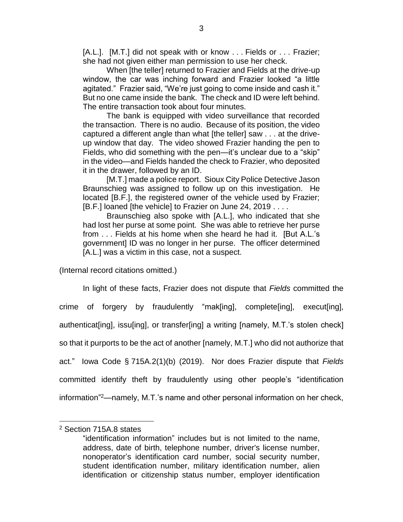[A.L.]. [M.T.] did not speak with or know . . . Fields or . . . Frazier; she had not given either man permission to use her check.

When [the teller] returned to Frazier and Fields at the drive-up window, the car was inching forward and Frazier looked "a little agitated." Frazier said, "We're just going to come inside and cash it." But no one came inside the bank. The check and ID were left behind. The entire transaction took about four minutes.

The bank is equipped with video surveillance that recorded the transaction. There is no audio. Because of its position, the video captured a different angle than what [the teller] saw . . . at the driveup window that day. The video showed Frazier handing the pen to Fields, who did something with the pen—it's unclear due to a "skip" in the video—and Fields handed the check to Frazier, who deposited it in the drawer, followed by an ID.

[M.T.] made a police report. Sioux City Police Detective Jason Braunschieg was assigned to follow up on this investigation. He located [B.F.], the registered owner of the vehicle used by Frazier; [B.F.] loaned [the vehicle] to Frazier on June 24, 2019 . . . .

Braunschieg also spoke with [A.L.], who indicated that she had lost her purse at some point. She was able to retrieve her purse from . . . Fields at his home when she heard he had it. [But A.L.'s government] ID was no longer in her purse. The officer determined [A.L.] was a victim in this case, not a suspect.

(Internal record citations omitted.)

In light of these facts, Frazier does not dispute that *Fields* committed the crime of forgery by fraudulently "mak[ing], complete[ing], execut[ing], authenticat[ing], issu[ing], or transfer[ing] a writing [namely, M.T.'s stolen check] so that it purports to be the act of another [namely, M.T.] who did not authorize that act." Iowa Code § 715A.2(1)(b) (2019). Nor does Frazier dispute that *Fields* committed identify theft by fraudulently using other people's "identification information" <sup>2</sup>—namely, M.T.'s name and other personal information on her check,

 $\overline{a}$ 

<sup>2</sup> Section 715A.8 states

<sup>&</sup>quot;identification information" includes but is not limited to the name, address, date of birth, telephone number, driver's license number, nonoperator's identification card number, social security number, student identification number, military identification number, alien identification or citizenship status number, employer identification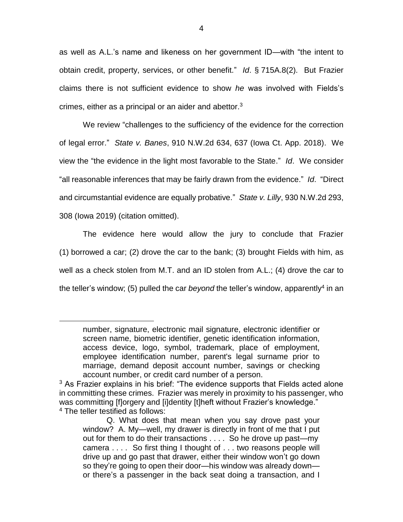as well as A.L.'s name and likeness on her government ID—with "the intent to obtain credit, property, services, or other benefit." *Id*. § 715A.8(2). But Frazier claims there is not sufficient evidence to show *he* was involved with Fields's crimes, either as a principal or an aider and abettor. $3$ 

We review "challenges to the sufficiency of the evidence for the correction of legal error." *State v. Banes*, 910 N.W.2d 634, 637 (Iowa Ct. App. 2018). We view the "the evidence in the light most favorable to the State." *Id*. We consider "all reasonable inferences that may be fairly drawn from the evidence." *Id*. "Direct and circumstantial evidence are equally probative." *State v. Lilly*, 930 N.W.2d 293, 308 (Iowa 2019) (citation omitted).

The evidence here would allow the jury to conclude that Frazier (1) borrowed a car; (2) drove the car to the bank; (3) brought Fields with him, as well as a check stolen from M.T. and an ID stolen from A.L.; (4) drove the car to the teller's window; (5) pulled the car *beyond* the teller's window, apparently<sup>4</sup> in an

 $\overline{a}$ 

number, signature, electronic mail signature, electronic identifier or screen name, biometric identifier, genetic identification information, access device, logo, symbol, trademark, place of employment, employee identification number, parent's legal surname prior to marriage, demand deposit account number, savings or checking account number, or credit card number of a person.

<sup>&</sup>lt;sup>3</sup> As Frazier explains in his brief: "The evidence supports that Fields acted alone in committing these crimes. Frazier was merely in proximity to his passenger, who was committing [f]orgery and [i]dentity [t]heft without Frazier's knowledge." <sup>4</sup> The teller testified as follows:

Q. What does that mean when you say drove past your window? A. My—well, my drawer is directly in front of me that I put out for them to do their transactions . . . . So he drove up past—my camera . . . . So first thing I thought of . . . two reasons people will drive up and go past that drawer, either their window won't go down so they're going to open their door—his window was already down or there's a passenger in the back seat doing a transaction, and I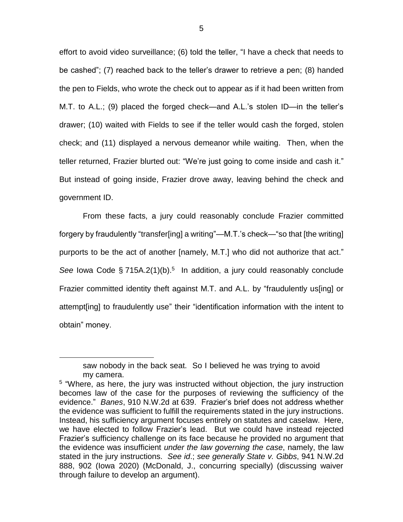effort to avoid video surveillance; (6) told the teller, "I have a check that needs to be cashed"; (7) reached back to the teller's drawer to retrieve a pen; (8) handed the pen to Fields, who wrote the check out to appear as if it had been written from M.T. to A.L.; (9) placed the forged check—and A.L.'s stolen ID—in the teller's drawer; (10) waited with Fields to see if the teller would cash the forged, stolen check; and (11) displayed a nervous demeanor while waiting. Then, when the teller returned, Frazier blurted out: "We're just going to come inside and cash it." But instead of going inside, Frazier drove away, leaving behind the check and government ID.

From these facts, a jury could reasonably conclude Frazier committed forgery by fraudulently "transfer[ing] a writing"—M.T.'s check—"so that [the writing] purports to be the act of another [namely, M.T.] who did not authorize that act." See Iowa Code § 715A.2(1)(b).<sup>5</sup> In addition, a jury could reasonably conclude Frazier committed identity theft against M.T. and A.L. by "fraudulently us[ing] or attempt[ing] to fraudulently use" their "identification information with the intent to obtain" money.

 $\overline{a}$ 

saw nobody in the back seat. So I believed he was trying to avoid my camera.

<sup>&</sup>lt;sup>5</sup> "Where, as here, the jury was instructed without objection, the jury instruction becomes law of the case for the purposes of reviewing the sufficiency of the evidence." *Banes*, 910 N.W.2d at 639. Frazier's brief does not address whether the evidence was sufficient to fulfill the requirements stated in the jury instructions. Instead, his sufficiency argument focuses entirely on statutes and caselaw. Here, we have elected to follow Frazier's lead. But we could have instead rejected Frazier's sufficiency challenge on its face because he provided no argument that the evidence was insufficient *under the law governing the case*, namely, the law stated in the jury instructions. *See id*.; *see generally State v. Gibbs*, 941 N.W.2d 888, 902 (Iowa 2020) (McDonald, J., concurring specially) (discussing waiver through failure to develop an argument).